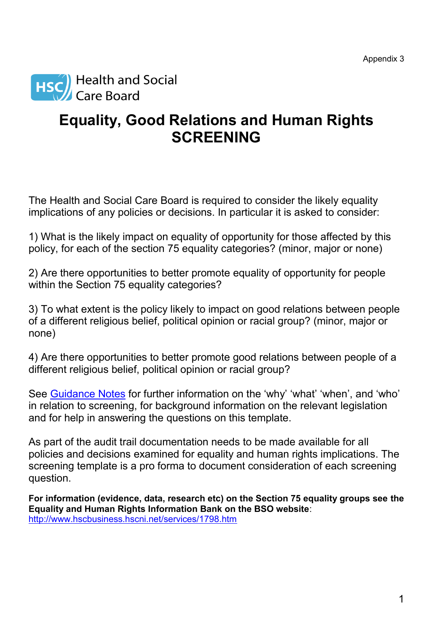

## **Equality, Good Relations and Human Rights SCREENING**

The Health and Social Care Board is required to consider the likely equality implications of any policies or decisions. In particular it is asked to consider:

1) What is the likely impact on equality of opportunity for those affected by this policy, for each of the section 75 equality categories? (minor, major or none)

2) Are there opportunities to better promote equality of opportunity for people within the Section 75 equality categories?

3) To what extent is the policy likely to impact on good relations between people of a different religious belief, political opinion or racial group? (minor, major or none)

4) Are there opportunities to better promote good relations between people of a different religious belief, political opinion or racial group?

See [Guidance Notes](../AppData/Roaming/mmcde023/AppData/Local/Microsoft/Windows/Documents%20and%20Settings/mcgladea/Local%20Settings/Temporary%20Internet%20Files/AppData/Local/Microsoft/Windows/Temporary%20Internet%20Files/Low/Content.IE5/DN099VFZ/HSC%20Screening_guidance%20Oct%202010.doc) for further information on the 'why' 'what' 'when', and 'who' in relation to screening, for background information on the relevant legislation and for help in answering the questions on this template.

As part of the audit trail documentation needs to be made available for all policies and decisions examined for equality and human rights implications. The screening template is a pro forma to document consideration of each screening question.

**For information (evidence, data, research etc) on the Section 75 equality groups see the Equality and Human Rights Information Bank on the BSO website**: <http://www.hscbusiness.hscni.net/services/1798.htm>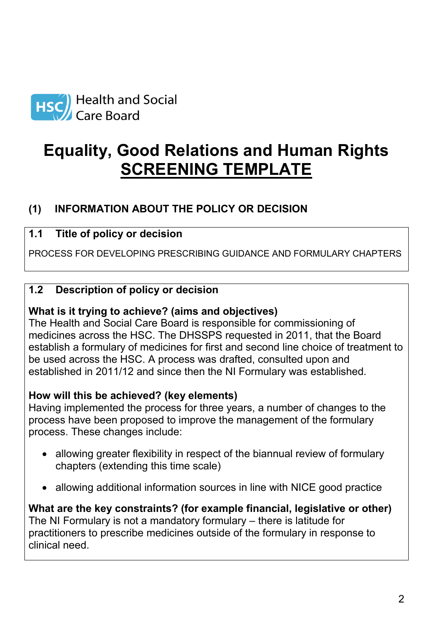

# **Equality, Good Relations and Human Rights SCREENING TEMPLATE**

## **(1) INFORMATION ABOUT THE POLICY OR DECISION**

## **1.1 Title of policy or decision**

PROCESS FOR DEVELOPING PRESCRIBING GUIDANCE AND FORMULARY CHAPTERS

## **1.2 Description of policy or decision**

## **What is it trying to achieve? (aims and objectives)**

The Health and Social Care Board is responsible for commissioning of medicines across the HSC. The DHSSPS requested in 2011, that the Board establish a formulary of medicines for first and second line choice of treatment to be used across the HSC. A process was drafted, consulted upon and established in 2011/12 and since then the NI Formulary was established.

## **How will this be achieved? (key elements)**

Having implemented the process for three years, a number of changes to the process have been proposed to improve the management of the formulary process. These changes include:

- allowing greater flexibility in respect of the biannual review of formulary chapters (extending this time scale)
- allowing additional information sources in line with NICE good practice

**What are the key constraints? (for example financial, legislative or other)** The NI Formulary is not a mandatory formulary – there is latitude for practitioners to prescribe medicines outside of the formulary in response to clinical need.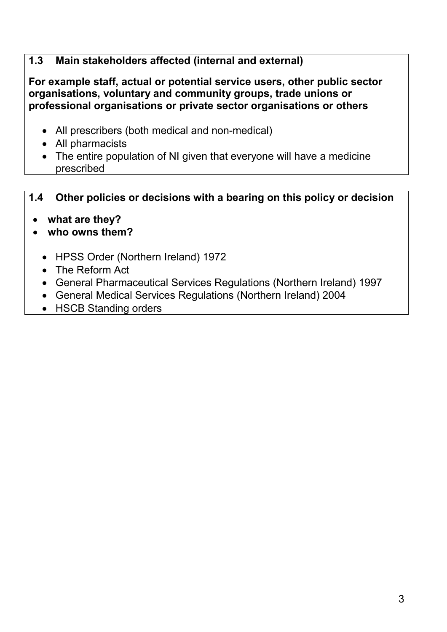## **1.3 Main stakeholders affected (internal and external)**

**For example staff, actual or potential service users, other public sector organisations, voluntary and community groups, trade unions or professional organisations or private sector organisations or others**

- All prescribers (both medical and non-medical)
- All pharmacists
- The entire population of NI given that everyone will have a medicine prescribed

## **1.4 Other policies or decisions with a bearing on this policy or decision**

- **what are they?**
- **who owns them?**
	- HPSS Order (Northern Ireland) 1972
	- The Reform Act
	- General Pharmaceutical Services Regulations (Northern Ireland) 1997
	- General Medical Services Regulations (Northern Ireland) 2004
	- HSCB Standing orders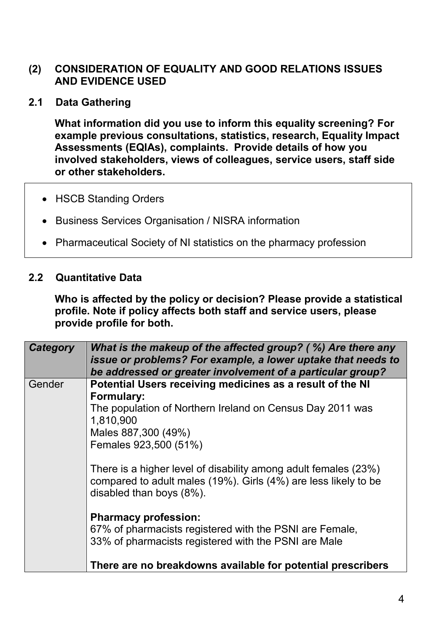## **(2) CONSIDERATION OF EQUALITY AND GOOD RELATIONS ISSUES AND EVIDENCE USED**

**2.1 Data Gathering**

**What information did you use to inform this equality screening? For example previous consultations, statistics, research, Equality Impact Assessments (EQIAs), complaints. Provide details of how you involved stakeholders, views of colleagues, service users, staff side or other stakeholders.**

- HSCB Standing Orders
- Business Services Organisation / NISRA information
- Pharmaceutical Society of NI statistics on the pharmacy profession

#### **2.2 Quantitative Data**

**Who is affected by the policy or decision? Please provide a statistical profile. Note if policy affects both staff and service users, please provide profile for both.**

| <b>Category</b> | What is the makeup of the affected group? (%) Are there any<br>issue or problems? For example, a lower uptake that needs to<br>be addressed or greater involvement of a particular group? |
|-----------------|-------------------------------------------------------------------------------------------------------------------------------------------------------------------------------------------|
| Gender          | Potential Users receiving medicines as a result of the NI<br>Formulary:                                                                                                                   |
|                 | The population of Northern Ireland on Census Day 2011 was<br>1,810,900<br>Males 887,300 (49%)<br>Females 923,500 (51%)                                                                    |
|                 | There is a higher level of disability among adult females (23%)<br>compared to adult males (19%). Girls (4%) are less likely to be<br>disabled than boys (8%).                            |
|                 | <b>Pharmacy profession:</b><br>67% of pharmacists registered with the PSNI are Female,<br>33% of pharmacists registered with the PSNI are Male                                            |
|                 | There are no breakdowns available for potential prescribers                                                                                                                               |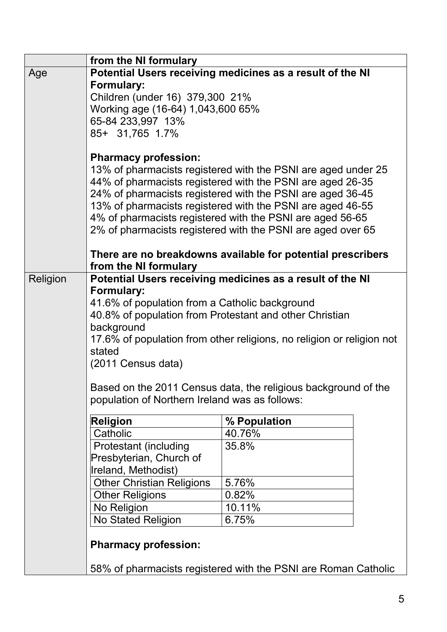|          | from the NI formulary                                                                                            |                                                            |  |
|----------|------------------------------------------------------------------------------------------------------------------|------------------------------------------------------------|--|
| Age      | Potential Users receiving medicines as a result of the NI                                                        |                                                            |  |
|          | <b>Formulary:</b>                                                                                                |                                                            |  |
|          | Children (under 16) 379,300 21%                                                                                  |                                                            |  |
|          | Working age (16-64) 1,043,600 65%                                                                                |                                                            |  |
|          | 65-84 233,997 13%                                                                                                |                                                            |  |
|          | 85+ 31,765 1.7%                                                                                                  |                                                            |  |
|          |                                                                                                                  |                                                            |  |
|          | <b>Pharmacy profession:</b><br>13% of pharmacists registered with the PSNI are aged under 25                     |                                                            |  |
|          |                                                                                                                  | 44% of pharmacists registered with the PSNI are aged 26-35 |  |
|          |                                                                                                                  | 24% of pharmacists registered with the PSNI are aged 36-45 |  |
|          |                                                                                                                  | 13% of pharmacists registered with the PSNI are aged 46-55 |  |
|          |                                                                                                                  | 4% of pharmacists registered with the PSNI are aged 56-65  |  |
|          |                                                                                                                  |                                                            |  |
|          | 2% of pharmacists registered with the PSNI are aged over 65                                                      |                                                            |  |
|          | There are no breakdowns available for potential prescribers                                                      |                                                            |  |
|          | from the NI formulary                                                                                            |                                                            |  |
| Religion | Potential Users receiving medicines as a result of the NI                                                        |                                                            |  |
|          | Formulary:                                                                                                       |                                                            |  |
|          | 41.6% of population from a Catholic background                                                                   |                                                            |  |
|          | 40.8% of population from Protestant and other Christian                                                          |                                                            |  |
|          | background                                                                                                       |                                                            |  |
|          | 17.6% of population from other religions, no religion or religion not                                            |                                                            |  |
|          | stated                                                                                                           |                                                            |  |
|          | (2011 Census data)                                                                                               |                                                            |  |
|          |                                                                                                                  |                                                            |  |
|          | Based on the 2011 Census data, the religious background of the<br>population of Northern Ireland was as follows: |                                                            |  |
|          |                                                                                                                  |                                                            |  |
|          | <b>Religion</b>                                                                                                  | % Population                                               |  |
|          | Catholic                                                                                                         | 40.76%                                                     |  |
|          | <b>Protestant (including</b>                                                                                     | 35.8%                                                      |  |
|          | Presbyterian, Church of                                                                                          |                                                            |  |
|          | Ireland, Methodist)                                                                                              |                                                            |  |
|          | <b>Other Christian Religions</b>                                                                                 | 5.76%                                                      |  |
|          | <b>Other Religions</b>                                                                                           | 0.82%                                                      |  |
|          | No Religion                                                                                                      | 10.11%                                                     |  |
|          | No Stated Religion                                                                                               | 6.75%                                                      |  |
|          | <b>Pharmacy profession:</b>                                                                                      |                                                            |  |
|          |                                                                                                                  |                                                            |  |
|          | 58% of pharmacists registered with the PSNI are Roman Catholic                                                   |                                                            |  |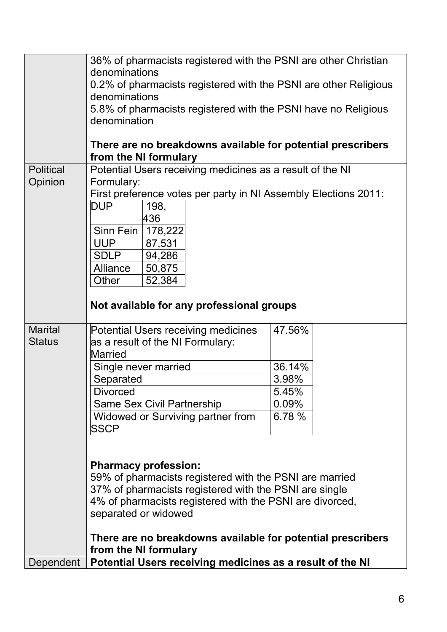|                  | 36% of pharmacists registered with the PSNI are other Christian                      |        |  |
|------------------|--------------------------------------------------------------------------------------|--------|--|
|                  | denominations                                                                        |        |  |
|                  | 0.2% of pharmacists registered with the PSNI are other Religious                     |        |  |
|                  | denominations<br>5.8% of pharmacists registered with the PSNI have no Religious      |        |  |
|                  | denomination                                                                         |        |  |
|                  |                                                                                      |        |  |
|                  | There are no breakdowns available for potential prescribers                          |        |  |
|                  | from the NI formulary                                                                |        |  |
| <b>Political</b> | Potential Users receiving medicines as a result of the NI                            |        |  |
| Opinion          | Formulary:                                                                           |        |  |
|                  | First preference votes per party in NI Assembly Elections 2011:                      |        |  |
|                  | <b>DUP</b><br>198,                                                                   |        |  |
|                  | 436                                                                                  |        |  |
|                  | Sinn Fein<br>178,222                                                                 |        |  |
|                  | <b>UUP</b><br>87,531                                                                 |        |  |
|                  | 94,286<br><b>SDLP</b>                                                                |        |  |
|                  | Alliance<br>50,875                                                                   |        |  |
|                  | 52,384<br>Other                                                                      |        |  |
|                  |                                                                                      |        |  |
|                  | Not available for any professional groups                                            |        |  |
| <b>Marital</b>   | Potential Users receiving medicines                                                  | 47.56% |  |
| <b>Status</b>    | as a result of the NI Formulary:                                                     |        |  |
|                  | Married                                                                              |        |  |
|                  | Single never married                                                                 | 36.14% |  |
|                  | Separated                                                                            | 3.98%  |  |
|                  | <b>Divorced</b>                                                                      | 5.45%  |  |
|                  | <b>Same Sex Civil Partnership</b>                                                    | 0.09%  |  |
|                  | Widowed or Surviving partner from                                                    | 6.78 % |  |
|                  | <b>SSCP</b>                                                                          |        |  |
|                  |                                                                                      |        |  |
|                  |                                                                                      |        |  |
|                  | <b>Pharmacy profession:</b>                                                          |        |  |
|                  | 59% of pharmacists registered with the PSNI are married                              |        |  |
|                  | 37% of pharmacists registered with the PSNI are single                               |        |  |
|                  | 4% of pharmacists registered with the PSNI are divorced,                             |        |  |
|                  | separated or widowed                                                                 |        |  |
|                  |                                                                                      |        |  |
|                  | There are no breakdowns available for potential prescribers<br>from the NI formulary |        |  |
| Dependent        | Potential Users receiving medicines as a result of the NI                            |        |  |
|                  |                                                                                      |        |  |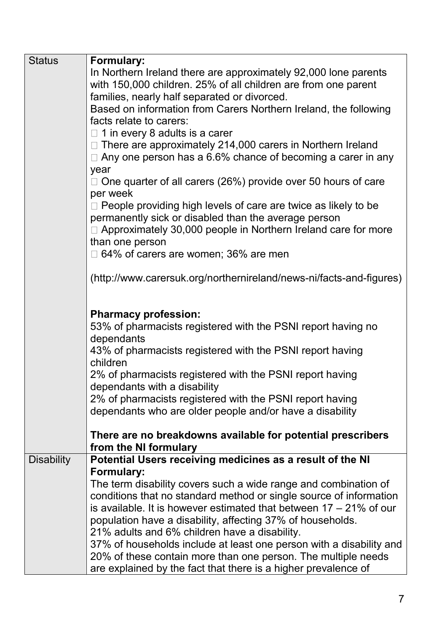| <b>Status</b>     | <b>Formulary:</b>                                                                    |
|-------------------|--------------------------------------------------------------------------------------|
|                   | In Northern Ireland there are approximately 92,000 lone parents                      |
|                   | with 150,000 children. 25% of all children are from one parent                       |
|                   | families, nearly half separated or divorced.                                         |
|                   | Based on information from Carers Northern Ireland, the following                     |
|                   | facts relate to carers:                                                              |
|                   | $\Box$ 1 in every 8 adults is a carer                                                |
|                   | There are approximately 214,000 carers in Northern Ireland                           |
|                   | Any one person has a 6.6% chance of becoming a carer in any                          |
|                   |                                                                                      |
|                   | year                                                                                 |
|                   | One quarter of all carers (26%) provide over 50 hours of care                        |
|                   | per week                                                                             |
|                   | People providing high levels of care are twice as likely to be                       |
|                   | permanently sick or disabled than the average person                                 |
|                   | $\Box$ Approximately 30,000 people in Northern Ireland care for more                 |
|                   | than one person                                                                      |
|                   | 64% of carers are women; 36% are men                                                 |
|                   |                                                                                      |
|                   | (http://www.carersuk.org/northernireland/news-ni/facts-and-figures)                  |
|                   |                                                                                      |
|                   |                                                                                      |
|                   | <b>Pharmacy profession:</b>                                                          |
|                   | 53% of pharmacists registered with the PSNI report having no                         |
|                   | dependants                                                                           |
|                   | 43% of pharmacists registered with the PSNI report having                            |
|                   | children                                                                             |
|                   | 2% of pharmacists registered with the PSNI report having                             |
|                   | dependants with a disability                                                         |
|                   | 2% of pharmacists registered with the PSNI report having                             |
|                   | dependants who are older people and/or have a disability                             |
|                   |                                                                                      |
|                   | There are no breakdowns available for potential prescribers<br>from the NI formulary |
| <b>Disability</b> | Potential Users receiving medicines as a result of the NI                            |
|                   | <b>Formulary:</b>                                                                    |
|                   | The term disability covers such a wide range and combination of                      |
|                   | conditions that no standard method or single source of information                   |
|                   | is available. It is however estimated that between $17 - 21\%$ of our                |
|                   | population have a disability, affecting 37% of households.                           |
|                   |                                                                                      |
|                   | 21% adults and 6% children have a disability.                                        |
|                   | 37% of households include at least one person with a disability and                  |
|                   | 20% of these contain more than one person. The multiple needs                        |
|                   | are explained by the fact that there is a higher prevalence of                       |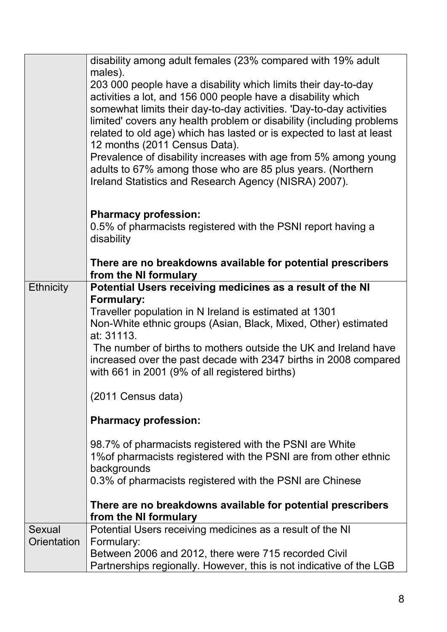|                  | disability among adult females (23% compared with 19% adult<br>males).                                                        |
|------------------|-------------------------------------------------------------------------------------------------------------------------------|
|                  | 203 000 people have a disability which limits their day-to-day                                                                |
|                  | activities a lot, and 156 000 people have a disability which                                                                  |
|                  | somewhat limits their day-to-day activities. 'Day-to-day activities                                                           |
|                  | limited' covers any health problem or disability (including problems                                                          |
|                  | related to old age) which has lasted or is expected to last at least                                                          |
|                  | 12 months (2011 Census Data).                                                                                                 |
|                  | Prevalence of disability increases with age from 5% among young<br>adults to 67% among those who are 85 plus years. (Northern |
|                  | Ireland Statistics and Research Agency (NISRA) 2007).                                                                         |
|                  |                                                                                                                               |
|                  | <b>Pharmacy profession:</b>                                                                                                   |
|                  | 0.5% of pharmacists registered with the PSNI report having a                                                                  |
|                  | disability                                                                                                                    |
|                  | There are no breakdowns available for potential prescribers                                                                   |
|                  | from the NI formulary                                                                                                         |
| <b>Ethnicity</b> | Potential Users receiving medicines as a result of the NI                                                                     |
|                  | <b>Formulary:</b>                                                                                                             |
|                  | Traveller population in N Ireland is estimated at 1301                                                                        |
|                  | Non-White ethnic groups (Asian, Black, Mixed, Other) estimated<br>at: 31113.                                                  |
|                  | The number of births to mothers outside the UK and Ireland have                                                               |
|                  | increased over the past decade with 2347 births in 2008 compared                                                              |
|                  | with 661 in 2001 (9% of all registered births)                                                                                |
|                  | (2011 Census data)                                                                                                            |
|                  |                                                                                                                               |
|                  | <b>Pharmacy profession:</b>                                                                                                   |
|                  | 98.7% of pharmacists registered with the PSNI are White                                                                       |
|                  | 1% of pharmacists registered with the PSNI are from other ethnic                                                              |
|                  | backgrounds                                                                                                                   |
|                  | 0.3% of pharmacists registered with the PSNI are Chinese                                                                      |
|                  | There are no breakdowns available for potential prescribers                                                                   |
|                  | from the NI formulary                                                                                                         |
| Sexual           | Potential Users receiving medicines as a result of the NI                                                                     |
| Orientation      | Formulary:<br>Between 2006 and 2012, there were 715 recorded Civil                                                            |
|                  | Partnerships regionally. However, this is not indicative of the LGB                                                           |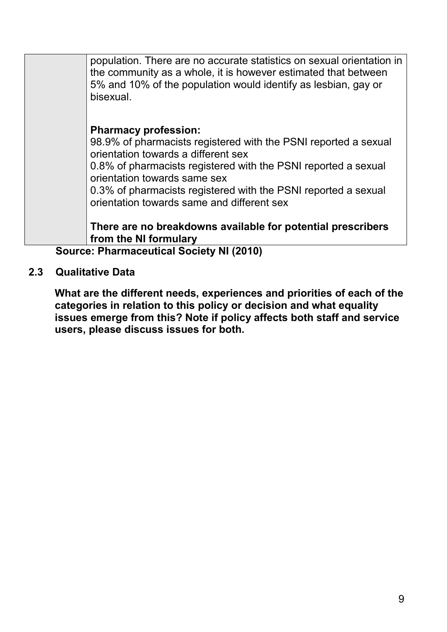|                                                 | population. There are no accurate statistics on sexual orientation in<br>the community as a whole, it is however estimated that between<br>5% and 10% of the population would identify as lesbian, gay or<br>bisexual. |
|-------------------------------------------------|------------------------------------------------------------------------------------------------------------------------------------------------------------------------------------------------------------------------|
|                                                 | <b>Pharmacy profession:</b>                                                                                                                                                                                            |
|                                                 | 98.9% of pharmacists registered with the PSNI reported a sexual<br>orientation towards a different sex                                                                                                                 |
|                                                 | 0.8% of pharmacists registered with the PSNI reported a sexual<br>orientation towards same sex                                                                                                                         |
|                                                 | 0.3% of pharmacists registered with the PSNI reported a sexual<br>orientation towards same and different sex                                                                                                           |
|                                                 | There are no breakdowns available for potential prescribers<br>from the NI formulary                                                                                                                                   |
| <b>Source: Pharmaceutical Society NI (2010)</b> |                                                                                                                                                                                                                        |

#### **2.3 Qualitative Data**

**What are the different needs, experiences and priorities of each of the categories in relation to this policy or decision and what equality issues emerge from this? Note if policy affects both staff and service users, please discuss issues for both.**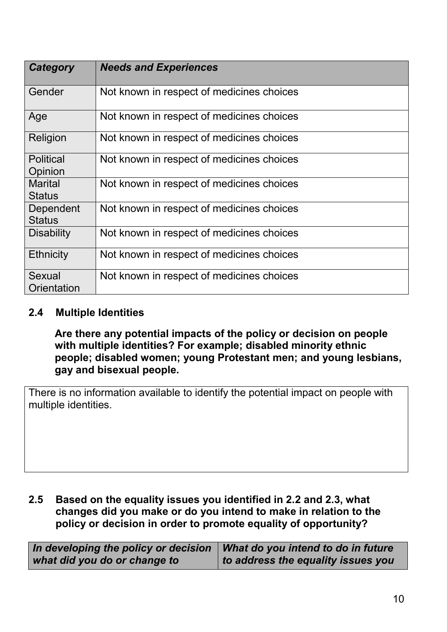| Category                    | <b>Needs and Experiences</b>              |
|-----------------------------|-------------------------------------------|
| Gender                      | Not known in respect of medicines choices |
| Age                         | Not known in respect of medicines choices |
| Religion                    | Not known in respect of medicines choices |
| <b>Political</b><br>Opinion | Not known in respect of medicines choices |
| Marital<br><b>Status</b>    | Not known in respect of medicines choices |
| Dependent<br><b>Status</b>  | Not known in respect of medicines choices |
| <b>Disability</b>           | Not known in respect of medicines choices |
| <b>Ethnicity</b>            | Not known in respect of medicines choices |
| Sexual<br>Orientation       | Not known in respect of medicines choices |

#### **2.4 Multiple Identities**

**Are there any potential impacts of the policy or decision on people with multiple identities? For example; disabled minority ethnic people; disabled women; young Protestant men; and young lesbians, gay and bisexual people.**

There is no information available to identify the potential impact on people with multiple identities.

#### **2.5 Based on the equality issues you identified in 2.2 and 2.3, what changes did you make or do you intend to make in relation to the policy or decision in order to promote equality of opportunity?**

| In developing the policy or decision | What do you intend to do in future |
|--------------------------------------|------------------------------------|
| what did you do or change to         | to address the equality issues you |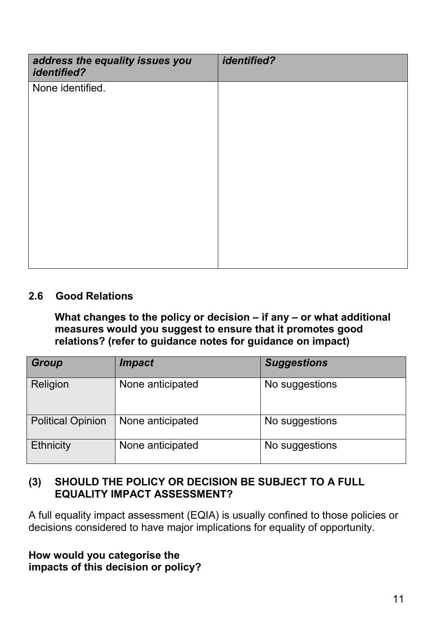| address the equality issues you<br><i>identified?</i> | <i>identified?</i> |
|-------------------------------------------------------|--------------------|
| None identified.                                      |                    |
|                                                       |                    |
|                                                       |                    |
|                                                       |                    |
|                                                       |                    |
|                                                       |                    |
|                                                       |                    |
|                                                       |                    |
|                                                       |                    |
|                                                       |                    |

## **2.6 Good Relations**

**What changes to the policy or decision – if any – or what additional measures would you suggest to ensure that it promotes good relations? (refer to guidance notes for guidance on impact)**

| Group                    | <i><b>Impact</b></i> | <b>Suggestions</b> |
|--------------------------|----------------------|--------------------|
| Religion                 | None anticipated     | No suggestions     |
| <b>Political Opinion</b> | None anticipated     | No suggestions     |
| <b>Ethnicity</b>         | None anticipated     | No suggestions     |

## **(3) SHOULD THE POLICY OR DECISION BE SUBJECT TO A FULL EQUALITY IMPACT ASSESSMENT?**

A full equality impact assessment (EQIA) is usually confined to those policies or decisions considered to have major implications for equality of opportunity.

#### **How would you categorise the impacts of this decision or policy?**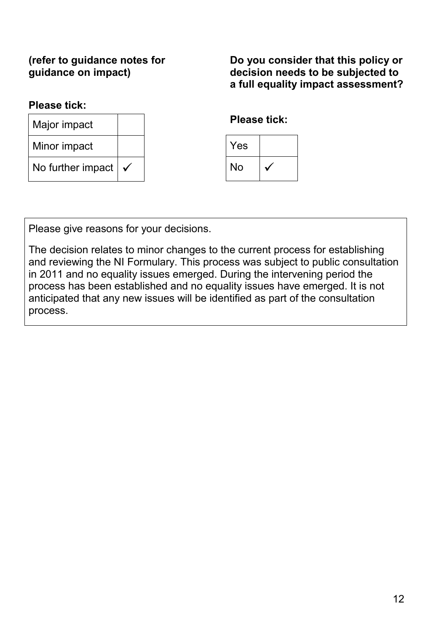## **(refer to guidance notes for guidance on impact)**

**Do you consider that this policy or decision needs to be subjected to a full equality impact assessment?**

#### **Please tick:**

| Major impact      |              |  |
|-------------------|--------------|--|
| Minor impact      |              |  |
| No further impact | $\checkmark$ |  |

## **Please tick:**



Please give reasons for your decisions.

The decision relates to minor changes to the current process for establishing and reviewing the NI Formulary. This process was subject to public consultation in 2011 and no equality issues emerged. During the intervening period the process has been established and no equality issues have emerged. It is not anticipated that any new issues will be identified as part of the consultation process.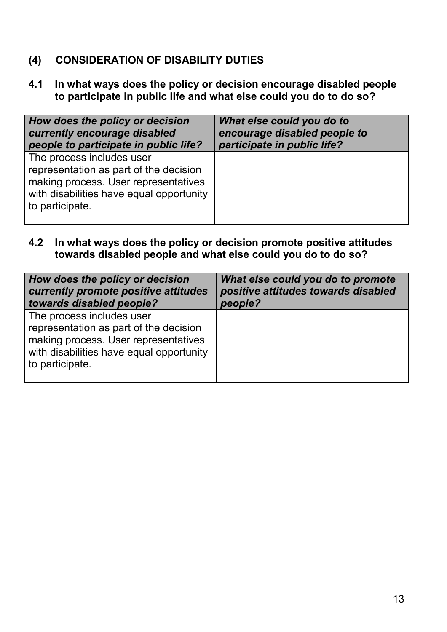## **(4) CONSIDERATION OF DISABILITY DUTIES**

**4.1 In what ways does the policy or decision encourage disabled people to participate in public life and what else could you do to do so?**

| How does the policy or decision                                                                                                                                            | What else could you do to    |
|----------------------------------------------------------------------------------------------------------------------------------------------------------------------------|------------------------------|
| currently encourage disabled                                                                                                                                               | encourage disabled people to |
| people to participate in public life?                                                                                                                                      | participate in public life?  |
| The process includes user<br>representation as part of the decision<br>making process. User representatives<br>with disabilities have equal opportunity<br>to participate. |                              |

**4.2 In what ways does the policy or decision promote positive attitudes towards disabled people and what else could you do to do so?**

| How does the policy or decision                                                                                                                                            | What else could you do to promote   |
|----------------------------------------------------------------------------------------------------------------------------------------------------------------------------|-------------------------------------|
| currently promote positive attitudes                                                                                                                                       | positive attitudes towards disabled |
| towards disabled people?                                                                                                                                                   | people?                             |
| The process includes user<br>representation as part of the decision<br>making process. User representatives<br>with disabilities have equal opportunity<br>to participate. |                                     |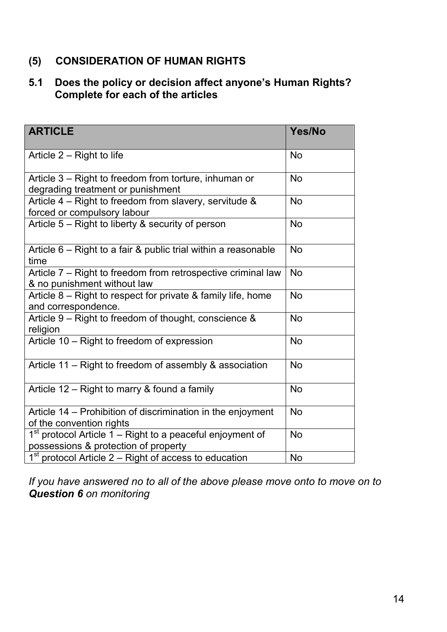## **(5) CONSIDERATION OF HUMAN RIGHTS**

## **5.1 Does the policy or decision affect anyone's Human Rights? Complete for each of the articles**

| <b>ARTICLE</b>                                                                                      | Yes/No    |
|-----------------------------------------------------------------------------------------------------|-----------|
| Article $2 -$ Right to life                                                                         | <b>No</b> |
| Article 3 – Right to freedom from torture, inhuman or<br>degrading treatment or punishment          | <b>No</b> |
| Article 4 - Right to freedom from slavery, servitude &<br>forced or compulsory labour               | <b>No</b> |
| Article 5 – Right to liberty & security of person                                                   | <b>No</b> |
| Article $6$ – Right to a fair & public trial within a reasonable<br>time                            | <b>No</b> |
| Article 7 - Right to freedom from retrospective criminal law<br>& no punishment without law         | <b>No</b> |
| Article 8 – Right to respect for private & family life, home<br>and correspondence.                 | <b>No</b> |
| Article 9 – Right to freedom of thought, conscience &<br>religion                                   | <b>No</b> |
| Article 10 - Right to freedom of expression                                                         | <b>No</b> |
| Article 11 – Right to freedom of assembly & association                                             | <b>No</b> |
| Article 12 – Right to marry & found a family                                                        | <b>No</b> |
| Article 14 – Prohibition of discrimination in the enjoyment<br>of the convention rights             | <b>No</b> |
| $1st$ protocol Article 1 – Right to a peaceful enjoyment of<br>possessions & protection of property | <b>No</b> |
| $1st$ protocol Article 2 – Right of access to education                                             | <b>No</b> |

*If you have answered no to all of the above please move onto to move on to Question 6 on monitoring*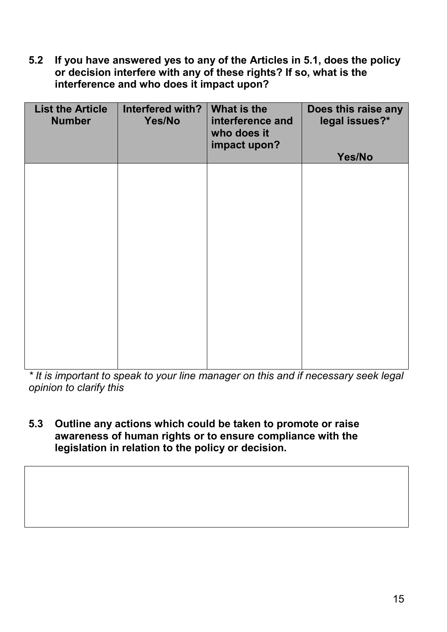**5.2 If you have answered yes to any of the Articles in 5.1, does the policy or decision interfere with any of these rights? If so, what is the interference and who does it impact upon?**

| <b>List the Article</b><br><b>Number</b> | Interfered with?<br>Yes/No | What is the<br>interference and<br>who does it<br>impact upon? | Does this raise any<br>legal issues?*<br>Yes/No |
|------------------------------------------|----------------------------|----------------------------------------------------------------|-------------------------------------------------|
|                                          |                            |                                                                |                                                 |
|                                          |                            |                                                                |                                                 |
|                                          |                            |                                                                |                                                 |
|                                          |                            |                                                                |                                                 |
|                                          |                            |                                                                |                                                 |
|                                          |                            |                                                                |                                                 |
|                                          |                            |                                                                |                                                 |

*\* It is important to speak to your line manager on this and if necessary seek legal opinion to clarify this* 

**5.3 Outline any actions which could be taken to promote or raise awareness of human rights or to ensure compliance with the legislation in relation to the policy or decision.**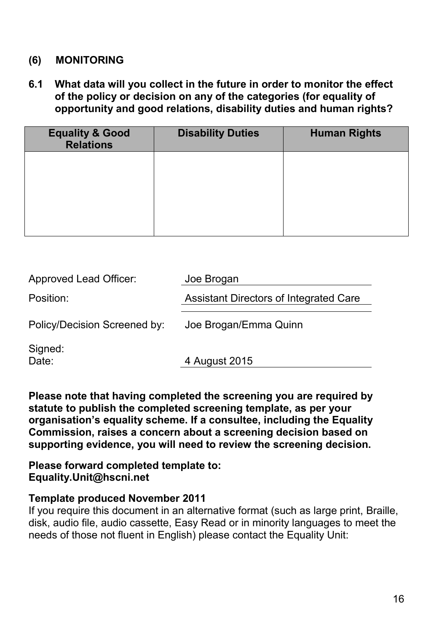## **(6) MONITORING**

**6.1 What data will you collect in the future in order to monitor the effect of the policy or decision on any of the categories (for equality of opportunity and good relations, disability duties and human rights?**

| <b>Disability Duties</b> | <b>Human Rights</b> |
|--------------------------|---------------------|
|                          |                     |
|                          |                     |
|                          |                     |
|                          |                     |

| <b>Approved Lead Officer:</b> | Joe Brogan                             |
|-------------------------------|----------------------------------------|
| Position:                     | Assistant Directors of Integrated Care |
| Policy/Decision Screened by:  | Joe Brogan/Emma Quinn                  |
| Signed:<br>Date:              | 4 August 2015                          |

**Please note that having completed the screening you are required by statute to publish the completed screening template, as per your organisation's equality scheme. If a consultee, including the Equality Commission, raises a concern about a screening decision based on supporting evidence, you will need to review the screening decision.**

**Please forward completed template to: Equality.Unit@hscni.net**

#### **Template produced November 2011**

If you require this document in an alternative format (such as large print, Braille, disk, audio file, audio cassette, Easy Read or in minority languages to meet the needs of those not fluent in English) please contact the Equality Unit: